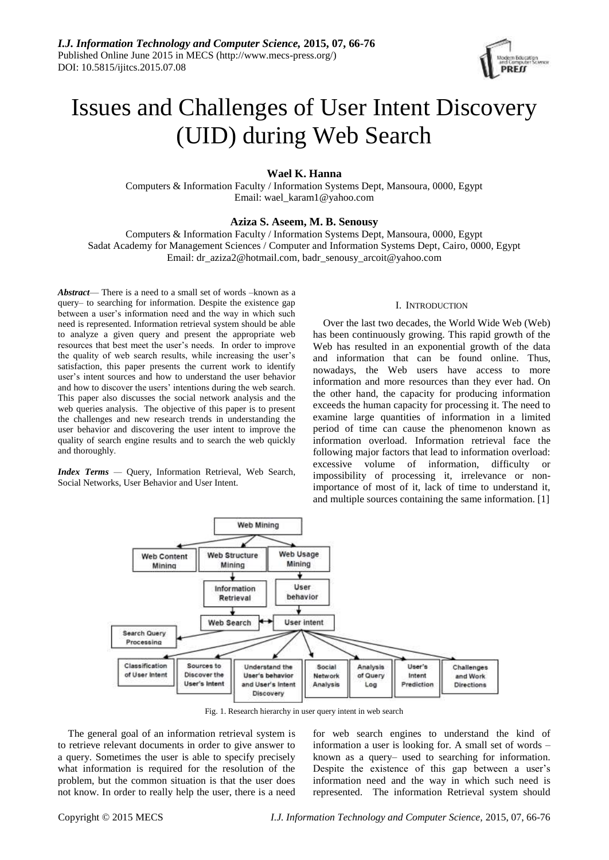

# Issues and Challenges of User Intent Discovery (UID) during Web Search

**Wael K. Hanna**

Computers & Information Faculty / Information Systems Dept, Mansoura, 0000, Egypt Email: wael\_karam1@yahoo.com

## **Aziza S. Aseem, M. B. Senousy**

Computers & Information Faculty / Information Systems Dept, Mansoura, 0000, Egypt Sadat Academy for Management Sciences / Computer and Information Systems Dept, Cairo, 0000, Egypt Email: [dr\\_aziza2@hotmail.com,](mailto:dr_aziza2@hotmail.com) badr\_senousy\_arcoit@yahoo.com

*Abstract*— There is a need to a small set of words –known as a query– to searching for information. Despite the existence gap between a user's information need and the way in which such need is represented. Information retrieval system should be able to analyze a given query and present the appropriate web resources that best meet the user's needs. In order to improve the quality of web search results, while increasing the user's satisfaction, this paper presents the current work to identify user's intent sources and how to understand the user behavior and how to discover the users' intentions during the web search. This paper also discusses the social network analysis and the web queries analysis. The objective of this paper is to present the challenges and new research trends in understanding the user behavior and discovering the user intent to improve the quality of search engine results and to search the web quickly and thoroughly.

*Index Terms —* Query, Information Retrieval, Web Search, Social Networks, User Behavior and User Intent*.*

### I. INTRODUCTION

Over the last two decades, the World Wide Web (Web) has been continuously growing. This rapid growth of the Web has resulted in an exponential growth of the data and information that can be found online. Thus, nowadays, the Web users have access to more information and more resources than they ever had. On the other hand, the capacity for producing information exceeds the human capacity for processing it. The need to examine large quantities of information in a limited period of time can cause the phenomenon known as information overload. Information retrieval face the following major factors that lead to information overload: excessive volume of information, difficulty or impossibility of processing it, irrelevance or nonimportance of most of it, lack of time to understand it, and multiple sources containing the same information. [1]



Fig. 1. Research hierarchy in user query intent in web search

The general goal of an information retrieval system is to retrieve relevant documents in order to give answer to a query. Sometimes the user is able to specify precisely what information is required for the resolution of the problem, but the common situation is that the user does not know. In order to really help the user, there is a need for web search engines to understand the kind of information a user is looking for. A small set of words – known as a query– used to searching for information. Despite the existence of this gap between a user's information need and the way in which such need is represented. The information Retrieval system should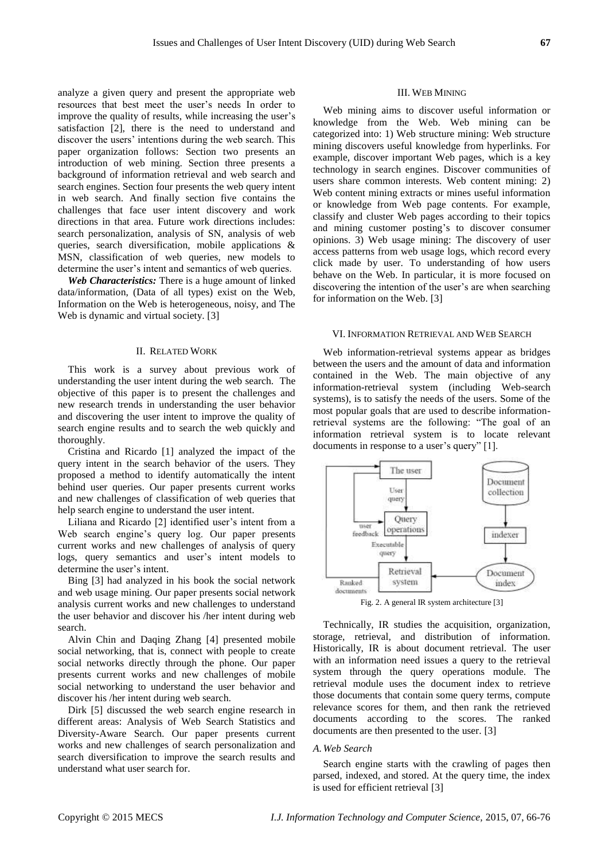analyze a given query and present the appropriate web resources that best meet the user's needs In order to improve the quality of results, while increasing the user's satisfaction [2], there is the need to understand and discover the users' intentions during the web search. This paper organization follows: Section two presents an introduction of web mining. Section three presents a background of information retrieval and web search and search engines. Section four presents the web query intent in web search. And finally section five contains the challenges that face user intent discovery and work directions in that area. Future work directions includes: search personalization, analysis of SN, analysis of web queries, search diversification, mobile applications & MSN, classification of web queries, new models to determine the user's intent and semantics of web queries.

*Web Characteristics:* There is a huge amount of linked data/information, (Data of all types) exist on the Web, Information on the Web is heterogeneous, noisy, and The Web is dynamic and virtual society. [3]

#### II. RELATED WORK

This work is a survey about previous work of understanding the user intent during the web search. The objective of this paper is to present the challenges and new research trends in understanding the user behavior and discovering the user intent to improve the quality of search engine results and to search the web quickly and thoroughly.

Cristina and Ricardo [1] analyzed the impact of the query intent in the search behavior of the users. They proposed a method to identify automatically the intent behind user queries. Our paper presents current works and new challenges of classification of web queries that help search engine to understand the user intent.

Liliana and Ricardo [2] identified user's intent from a Web search engine's query log. Our paper presents current works and new challenges of analysis of query logs, query semantics and user's intent models to determine the user's intent.

Bing [3] had analyzed in his book the social network and web usage mining. Our paper presents social network analysis current works and new challenges to understand the user behavior and discover his /her intent during web search.

Alvin Chin and Daqing Zhang [4] presented mobile social networking, that is, connect with people to create social networks directly through the phone. Our paper presents current works and new challenges of mobile social networking to understand the user behavior and discover his /her intent during web search.

Dirk [5] discussed the web search engine research in different areas: Analysis of Web Search Statistics and Diversity-Aware Search. Our paper presents current works and new challenges of search personalization and search diversification to improve the search results and understand what user search for.

#### III. WEB MINING

Web mining aims to discover useful information or knowledge from the Web. Web mining can be categorized into: 1) Web structure mining: Web structure mining discovers useful knowledge from hyperlinks. For example, discover important Web pages, which is a key technology in search engines. Discover communities of users share common interests. Web content mining: 2) Web content mining extracts or mines useful information or knowledge from Web page contents. For example, classify and cluster Web pages according to their topics and mining customer posting's to discover consumer opinions. 3) Web usage mining: The discovery of user access patterns from web usage logs, which record every click made by user. To understanding of how users behave on the Web. In particular, it is more focused on discovering the intention of the user's are when searching for information on the Web. [3]

#### VI. INFORMATION RETRIEVAL AND WEB SEARCH

Web information-retrieval systems appear as bridges between the users and the amount of data and information contained in the Web. The main objective of any information-retrieval system (including Web-search systems), is to satisfy the needs of the users. Some of the most popular goals that are used to describe informationretrieval systems are the following: "The goal of an information retrieval system is to locate relevant documents in response to a user's query" [1].



Fig. 2. A general IR system architecture [3]

Technically, IR studies the acquisition, organization, storage, retrieval, and distribution of information. Historically, IR is about document retrieval. The user with an information need issues a query to the retrieval system through the query operations module. The retrieval module uses the document index to retrieve those documents that contain some query terms, compute relevance scores for them, and then rank the retrieved documents according to the scores. The ranked documents are then presented to the user. [3]

## *A.Web Search*

Search engine starts with the crawling of pages then parsed, indexed, and stored. At the query time, the index is used for efficient retrieval [3]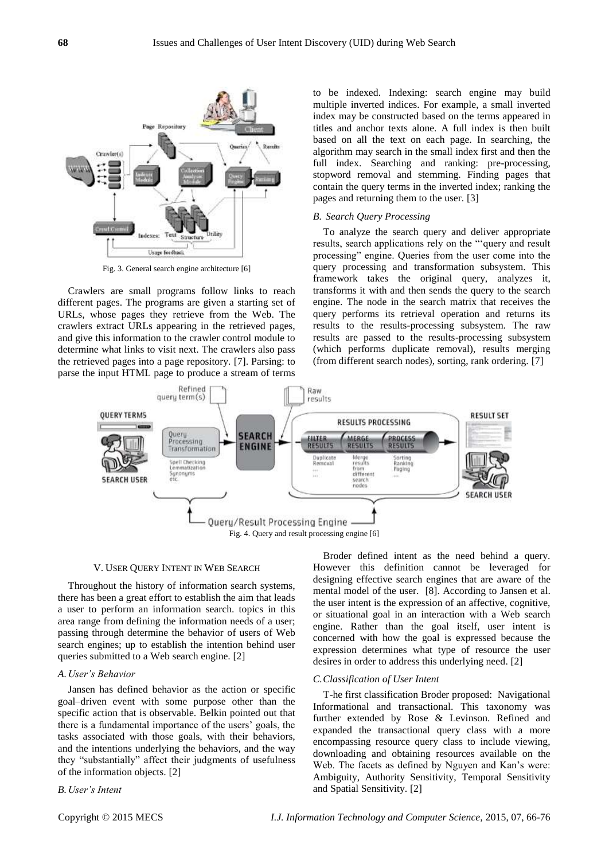

Fig. 3. General search engine architecture [6]

Crawlers are small programs follow links to reach different pages. The programs are given a starting set of URLs, whose pages they retrieve from the Web. The crawlers extract URLs appearing in the retrieved pages, and give this information to the crawler control module to determine what links to visit next. The crawlers also pass the retrieved pages into a page repository. [7]. Parsing: to parse the input HTML page to produce a stream of terms

to be indexed. Indexing: search engine may build multiple inverted indices. For example, a small inverted index may be constructed based on the terms appeared in titles and anchor texts alone. A full index is then built based on all the text on each page. In searching, the algorithm may search in the small index first and then the full index. Searching and ranking: pre-processing, stopword removal and stemming. Finding pages that contain the query terms in the inverted index; ranking the pages and returning them to the user. [3]

## *B. Search Query Processing*

To analyze the search query and deliver appropriate results, search applications rely on the "'query and result processing" engine. Queries from the user come into the query processing and transformation subsystem. This framework takes the original query, analyzes it, transforms it with and then sends the query to the search engine. The node in the search matrix that receives the query performs its retrieval operation and returns its results to the results-processing subsystem. The raw results are passed to the results-processing subsystem (which performs duplicate removal), results merging (from different search nodes), sorting, rank ordering. [7]



#### V. USER QUERY INTENT IN WEB SEARCH

Throughout the history of information search systems, there has been a great effort to establish the aim that leads a user to perform an information search. topics in this area range from defining the information needs of a user; passing through determine the behavior of users of Web search engines; up to establish the intention behind user queries submitted to a Web search engine. [2]

## *A.User's Behavior*

Jansen has defined behavior as the action or specific goal–driven event with some purpose other than the specific action that is observable. Belkin pointed out that there is a fundamental importance of the users' goals, the tasks associated with those goals, with their behaviors, and the intentions underlying the behaviors, and the way they "substantially" affect their judgments of usefulness of the information objects. [2]

#### *B.User's Intent*

Broder defined intent as the need behind a query. However this definition cannot be leveraged for designing effective search engines that are aware of the mental model of the user. [8]. According to Jansen et al. the user intent is the expression of an affective, cognitive, or situational goal in an interaction with a Web search engine. Rather than the goal itself, user intent is concerned with how the goal is expressed because the expression determines what type of resource the user desires in order to address this underlying need. [2]

## *C.Classification of User Intent*

T-he first classification Broder proposed: Navigational Informational and transactional. This taxonomy was further extended by Rose & Levinson. Refined and expanded the transactional query class with a more encompassing resource query class to include viewing, downloading and obtaining resources available on the Web. The facets as defined by Nguyen and Kan's were: Ambiguity, Authority Sensitivity, Temporal Sensitivity and Spatial Sensitivity. [2]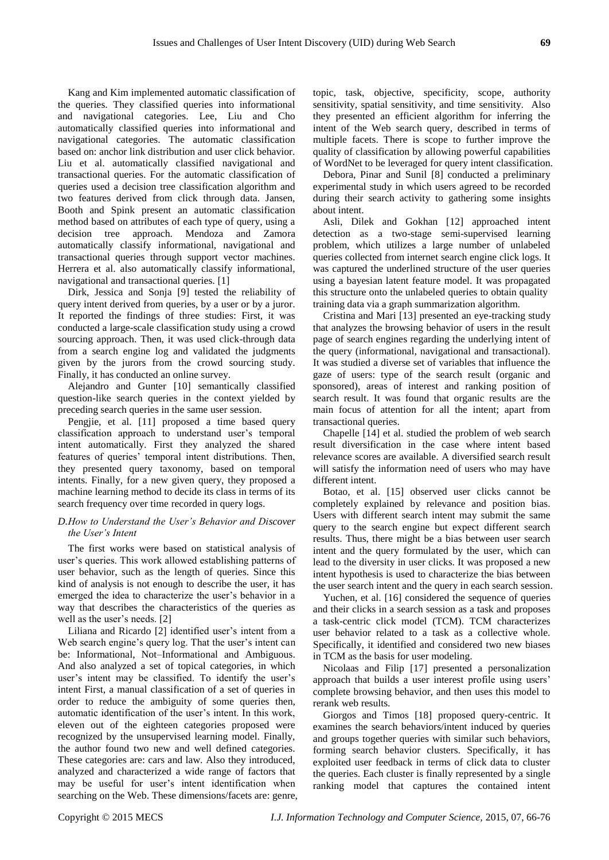Kang and Kim implemented automatic classification of the queries. They classified queries into informational and navigational categories. Lee, Liu and Cho automatically classified queries into informational and navigational categories. The automatic classification based on: anchor link distribution and user click behavior. Liu et al. automatically classified navigational and transactional queries. For the automatic classification of queries used a decision tree classification algorithm and two features derived from click through data. Jansen, Booth and Spink present an automatic classification method based on attributes of each type of query, using a decision tree approach. Mendoza and Zamora automatically classify informational, navigational and transactional queries through support vector machines. Herrera et al. also automatically classify informational, navigational and transactional queries. [1]

Dirk, Jessica and Sonja [9] tested the reliability of query intent derived from queries, by a user or by a juror. It reported the findings of three studies: First, it was conducted a large-scale classification study using a crowd sourcing approach. Then, it was used click-through data from a search engine log and validated the judgments given by the jurors from the crowd sourcing study. Finally, it has conducted an online survey.

Alejandro and Gunter [10] semantically classified question-like search queries in the context yielded by preceding search queries in the same user session.

Pengjie, et al. [11] proposed a time based query classification approach to understand user's temporal intent automatically. First they analyzed the shared features of queries' temporal intent distributions. Then, they presented query taxonomy, based on temporal intents. Finally, for a new given query, they proposed a machine learning method to decide its class in terms of its search frequency over time recorded in query logs.

## *D.How to Understand the User's Behavior and Discover the User's Intent*

The first works were based on statistical analysis of user's queries. This work allowed establishing patterns of user behavior, such as the length of queries. Since this kind of analysis is not enough to describe the user, it has emerged the idea to characterize the user's behavior in a way that describes the characteristics of the queries as well as the user's needs. [2]

Liliana and Ricardo [2] identified user's intent from a Web search engine's query log. That the user's intent can be: Informational, Not–Informational and Ambiguous. And also analyzed a set of topical categories, in which user's intent may be classified. To identify the user's intent First, a manual classification of a set of queries in order to reduce the ambiguity of some queries then, automatic identification of the user's intent. In this work, eleven out of the eighteen categories proposed were recognized by the unsupervised learning model. Finally, the author found two new and well defined categories. These categories are: cars and law. Also they introduced, analyzed and characterized a wide range of factors that may be useful for user's intent identification when searching on the Web. These dimensions/facets are: genre, topic, task, objective, specificity, scope, authority sensitivity, spatial sensitivity, and time sensitivity. Also they presented an efficient algorithm for inferring the intent of the Web search query, described in terms of multiple facets. There is scope to further improve the quality of classification by allowing powerful capabilities of WordNet to be leveraged for query intent classification.

Debora, Pinar and Sunil [8] conducted a preliminary experimental study in which users agreed to be recorded during their search activity to gathering some insights about intent.

Asli, Dilek and Gokhan [12] approached intent detection as a two-stage semi-supervised learning problem, which utilizes a large number of unlabeled queries collected from internet search engine click logs. It was captured the underlined structure of the user queries using a bayesian latent feature model. It was propagated this structure onto the unlabeled queries to obtain quality training data via a graph summarization algorithm.

Cristina and Mari [13] presented an eye-tracking study that analyzes the browsing behavior of users in the result page of search engines regarding the underlying intent of the query (informational, navigational and transactional). It was studied a diverse set of variables that influence the gaze of users: type of the search result (organic and sponsored), areas of interest and ranking position of search result. It was found that organic results are the main focus of attention for all the intent; apart from transactional queries.

Chapelle [14] et al. studied the problem of web search result diversification in the case where intent based relevance scores are available. A diversified search result will satisfy the information need of users who may have different intent.

Botao, et al. [15] observed user clicks cannot be completely explained by relevance and position bias. Users with different search intent may submit the same query to the search engine but expect different search results. Thus, there might be a bias between user search intent and the query formulated by the user, which can lead to the diversity in user clicks. It was proposed a new intent hypothesis is used to characterize the bias between the user search intent and the query in each search session.

Yuchen, et al. [16] considered the sequence of queries and their clicks in a search session as a task and proposes a task-centric click model (TCM). TCM characterizes user behavior related to a task as a collective whole. Specifically, it identified and considered two new biases in TCM as the basis for user modeling.

Nicolaas and Filip [17] presented a personalization approach that builds a user interest profile using users' complete browsing behavior, and then uses this model to rerank web results.

Giorgos and Timos [18] proposed query-centric. It examines the search behaviors/intent induced by queries and groups together queries with similar such behaviors, forming search behavior clusters. Specifically, it has exploited user feedback in terms of click data to cluster the queries. Each cluster is finally represented by a single ranking model that captures the contained intent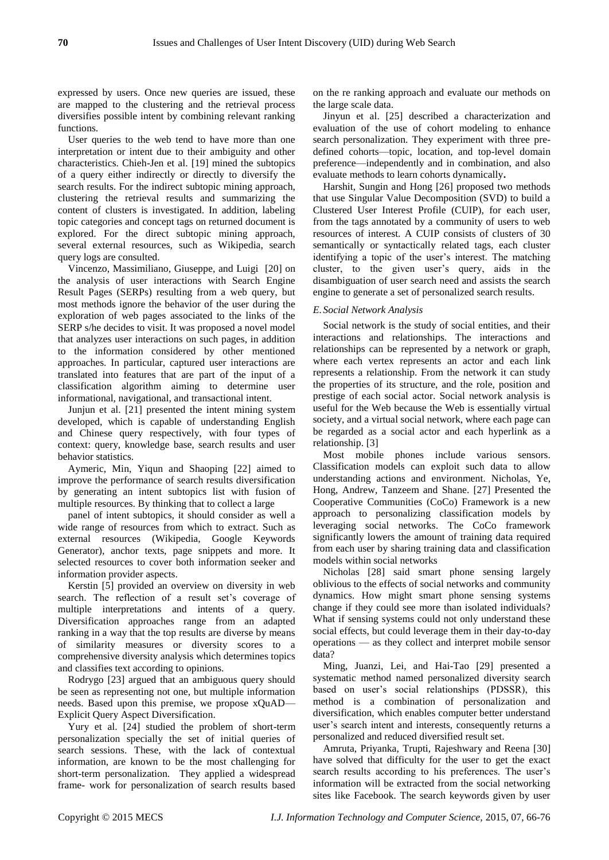expressed by users. Once new queries are issued, these are mapped to the clustering and the retrieval process diversifies possible intent by combining relevant ranking functions.

User queries to the web tend to have more than one interpretation or intent due to their ambiguity and other characteristics. Chieh-Jen et al. [19] mined the subtopics of a query either indirectly or directly to diversify the search results. For the indirect subtopic mining approach, clustering the retrieval results and summarizing the content of clusters is investigated. In addition, labeling topic categories and concept tags on returned document is explored. For the direct subtopic mining approach, several external resources, such as Wikipedia, search query logs are consulted.

Vincenzo, Massimiliano, Giuseppe, and Luigi [20] on the analysis of user interactions with Search Engine Result Pages (SERPs) resulting from a web query, but most methods ignore the behavior of the user during the exploration of web pages associated to the links of the SERP s/he decides to visit. It was proposed a novel model that analyzes user interactions on such pages, in addition to the information considered by other mentioned approaches. In particular, captured user interactions are translated into features that are part of the input of a classification algorithm aiming to determine user informational, navigational, and transactional intent.

Junjun et al. [21] presented the intent mining system developed, which is capable of understanding English and Chinese query respectively, with four types of context: query, knowledge base, search results and user behavior statistics.

Aymeric, Min, Yiqun and Shaoping [22] aimed to improve the performance of search results diversification by generating an intent subtopics list with fusion of multiple resources. By thinking that to collect a large

panel of intent subtopics, it should consider as well a wide range of resources from which to extract. Such as external resources (Wikipedia, Google Keywords Generator), anchor texts, page snippets and more. It selected resources to cover both information seeker and information provider aspects.

Kerstin [5] provided an overview on diversity in web search. The reflection of a result set's coverage of multiple interpretations and intents of a query. Diversification approaches range from an adapted ranking in a way that the top results are diverse by means of similarity measures or diversity scores to a comprehensive diversity analysis which determines topics and classifies text according to opinions.

Rodrygo [23] argued that an ambiguous query should be seen as representing not one, but multiple information needs. Based upon this premise, we propose xQuAD— Explicit Query Aspect Diversification.

Yury et al. [24] studied the problem of short-term personalization specially the set of initial queries of search sessions. These, with the lack of contextual information, are known to be the most challenging for short-term personalization. They applied a widespread frame- work for personalization of search results based

on the re ranking approach and evaluate our methods on the large scale data.

Jinyun et al. [25] described a characterization and evaluation of the use of cohort modeling to enhance search personalization. They experiment with three predefined cohorts—topic, location, and top-level domain preference—independently and in combination, and also evaluate methods to learn cohorts dynamically**.**

Harshit, Sungin and Hong [26] proposed two methods that use Singular Value Decomposition (SVD) to build a Clustered User Interest Profile (CUIP), for each user, from the tags annotated by a community of users to web resources of interest. A CUIP consists of clusters of 30 semantically or syntactically related tags, each cluster identifying a topic of the user's interest. The matching cluster, to the given user's query, aids in the disambiguation of user search need and assists the search engine to generate a set of personalized search results.

## *E.Social Network Analysis*

Social network is the study of social entities, and their interactions and relationships. The interactions and relationships can be represented by a network or graph, where each vertex represents an actor and each link represents a relationship. From the network it can study the properties of its structure, and the role, position and prestige of each social actor. Social network analysis is useful for the Web because the Web is essentially virtual society, and a virtual social network, where each page can be regarded as a social actor and each hyperlink as a relationship. [3]

Most mobile phones include various sensors. Classification models can exploit such data to allow understanding actions and environment. Nicholas, Ye, Hong, Andrew, Tanzeem and Shane. [27] Presented the Cooperative Communities (CoCo) Framework is a new approach to personalizing classification models by leveraging social networks. The CoCo framework significantly lowers the amount of training data required from each user by sharing training data and classification models within social networks

Nicholas [28] said smart phone sensing largely oblivious to the effects of social networks and community dynamics. How might smart phone sensing systems change if they could see more than isolated individuals? What if sensing systems could not only understand these social effects, but could leverage them in their day-to-day operations — as they collect and interpret mobile sensor data?

Ming, Juanzi, Lei, and Hai-Tao [29] presented a systematic method named personalized diversity search based on user's social relationships (PDSSR), this method is a combination of personalization and diversification, which enables computer better understand user's search intent and interests, consequently returns a personalized and reduced diversified result set.

Amruta, Priyanka, Trupti, Rajeshwary and Reena [30] have solved that difficulty for the user to get the exact search results according to his preferences. The user's information will be extracted from the social networking sites like Facebook. The search keywords given by user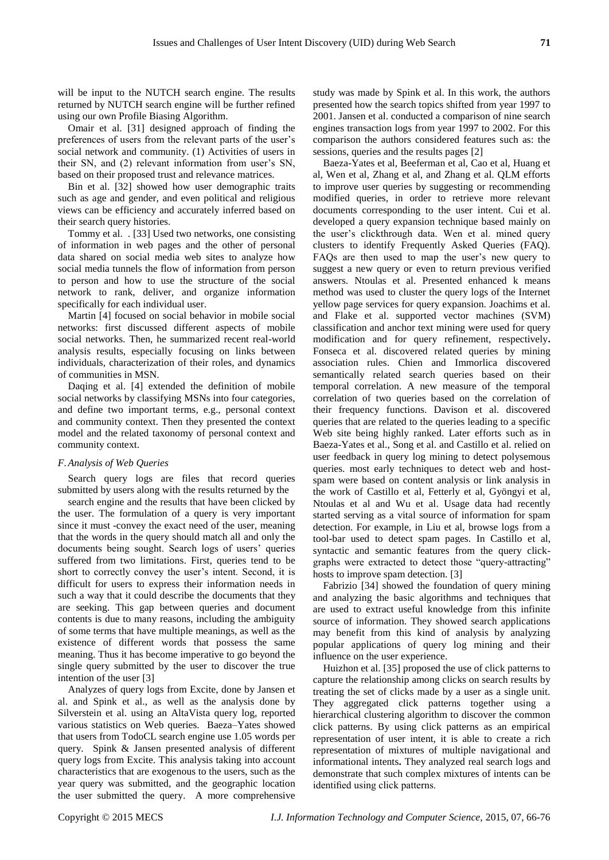will be input to the NUTCH search engine. The results returned by NUTCH search engine will be further refined using our own Profile Biasing Algorithm.

Omair et al. [31] designed approach of finding the preferences of users from the relevant parts of the user's social network and community. (1) Activities of users in their SN, and (2) relevant information from user's SN, based on their proposed trust and relevance matrices.

Bin et al. [32] showed how user demographic traits such as age and gender, and even political and religious views can be efficiency and accurately inferred based on their search query histories.

Tommy et al. . [33] Used two networks, one consisting of information in web pages and the other of personal data shared on social media web sites to analyze how social media tunnels the flow of information from person to person and how to use the structure of the social network to rank, deliver, and organize information specifically for each individual user.

Martin [4] focused on social behavior in mobile social networks: first discussed different aspects of mobile social networks. Then, he summarized recent real-world analysis results, especially focusing on links between individuals, characterization of their roles, and dynamics of communities in MSN.

Daqing et al. [4] extended the definition of mobile social networks by classifying MSNs into four categories, and define two important terms, e.g., personal context and community context. Then they presented the context model and the related taxonomy of personal context and community context.

## *F.Analysis of Web Queries*

Search query logs are files that record queries submitted by users along with the results returned by the

search engine and the results that have been clicked by the user. The formulation of a query is very important since it must -convey the exact need of the user, meaning that the words in the query should match all and only the documents being sought. Search logs of users' queries suffered from two limitations. First, queries tend to be short to correctly convey the user's intent. Second, it is difficult for users to express their information needs in such a way that it could describe the documents that they are seeking. This gap between queries and document contents is due to many reasons, including the ambiguity of some terms that have multiple meanings, as well as the existence of different words that possess the same meaning. Thus it has become imperative to go beyond the single query submitted by the user to discover the true intention of the user [3]

Analyzes of query logs from Excite, done by Jansen et al. and Spink et al., as well as the analysis done by Silverstein et al. using an AltaVista query log, reported various statistics on Web queries. Baeza–Yates showed that users from TodoCL search engine use 1.05 words per query. Spink & Jansen presented analysis of different query logs from Excite. This analysis taking into account characteristics that are exogenous to the users, such as the year query was submitted, and the geographic location the user submitted the query. A more comprehensive

study was made by Spink et al. In this work, the authors presented how the search topics shifted from year 1997 to 2001. Jansen et al. conducted a comparison of nine search engines transaction logs from year 1997 to 2002. For this comparison the authors considered features such as: the sessions, queries and the results pages [2]

Baeza-Yates et al, Beeferman et al, Cao et al, Huang et al, Wen et al, Zhang et al, and Zhang et al. QLM efforts to improve user queries by suggesting or recommending modified queries, in order to retrieve more relevant documents corresponding to the user intent. Cui et al. developed a query expansion technique based mainly on the user's clickthrough data. Wen et al. mined query clusters to identify Frequently Asked Queries (FAQ). FAQs are then used to map the user's new query to suggest a new query or even to return previous verified answers. Ntoulas et al. Presented enhanced k means method was used to cluster the query logs of the Internet yellow page services for query expansion. Joachims et al. and Flake et al. supported vector machines (SVM) classification and anchor text mining were used for query modification and for query refinement, respectively**.**  Fonseca et al. discovered related queries by mining association rules. Chien and Immorlica discovered semantically related search queries based on their temporal correlation. A new measure of the temporal correlation of two queries based on the correlation of their frequency functions. Davison et al. discovered queries that are related to the queries leading to a specific Web site being highly ranked. Later efforts such as in Baeza-Yates et al., Song et al. and Castillo et al. relied on user feedback in query log mining to detect polysemous queries. most early techniques to detect web and hostspam were based on content analysis or link analysis in the work of Castillo et al, Fetterly et al, Gyöngyi et al, Ntoulas et al and Wu et al. Usage data had recently started serving as a vital source of information for spam detection. For example, in Liu et al, browse logs from a tool-bar used to detect spam pages. In Castillo et al, syntactic and semantic features from the query clickgraphs were extracted to detect those "query-attracting" hosts to improve spam detection. [3]

Fabrizio [34] showed the foundation of query mining and analyzing the basic algorithms and techniques that are used to extract useful knowledge from this infinite source of information. They showed search applications may benefit from this kind of analysis by analyzing popular applications of query log mining and their influence on the user experience.

Huizhon et al. [35] proposed the use of click patterns to capture the relationship among clicks on search results by treating the set of clicks made by a user as a single unit. They aggregated click patterns together using a hierarchical clustering algorithm to discover the common click patterns. By using click patterns as an empirical representation of user intent, it is able to create a rich representation of mixtures of multiple navigational and informational intents**.** They analyzed real search logs and demonstrate that such complex mixtures of intents can be identified using click patterns.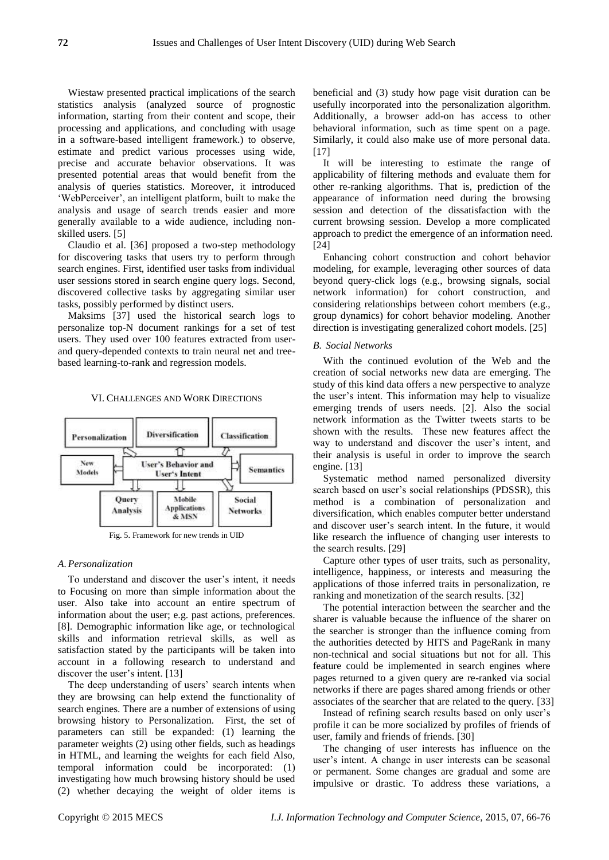Wiestaw presented practical implications of the search statistics analysis (analyzed source of prognostic information, starting from their content and scope, their processing and applications, and concluding with usage in a software-based intelligent framework.) to observe, estimate and predict various processes using wide, precise and accurate behavior observations. It was presented potential areas that would benefit from the analysis of queries statistics. Moreover, it introduced 'WebPerceiver', an intelligent platform, built to make the analysis and usage of search trends easier and more generally available to a wide audience, including nonskilled users. [5]

Claudio et al. [36] proposed a two-step methodology for discovering tasks that users try to perform through search engines. First, identified user tasks from individual user sessions stored in search engine query logs. Second, discovered collective tasks by aggregating similar user tasks, possibly performed by distinct users.

Maksims [37] used the historical search logs to personalize top-N document rankings for a set of test users. They used over 100 features extracted from userand query-depended contexts to train neural net and treebased learning-to-rank and regression models.

#### VI. CHALLENGES AND WORK DIRECTIONS



## *A.Personalization*

To understand and discover the user's intent, it needs to Focusing on more than simple information about the user. Also take into account an entire spectrum of information about the user; e.g. past actions, preferences. [8]. Demographic information like age, or technological skills and information retrieval skills, as well as satisfaction stated by the participants will be taken into account in a following research to understand and discover the user's intent. [13]

The deep understanding of users' search intents when they are browsing can help extend the functionality of search engines. There are a number of extensions of using browsing history to Personalization. First, the set of parameters can still be expanded: (1) learning the parameter weights (2) using other fields, such as headings in HTML, and learning the weights for each field Also, temporal information could be incorporated: (1) investigating how much browsing history should be used (2) whether decaying the weight of older items is

beneficial and (3) study how page visit duration can be usefully incorporated into the personalization algorithm. Additionally, a browser add-on has access to other behavioral information, such as time spent on a page. Similarly, it could also make use of more personal data. [17]

It will be interesting to estimate the range of applicability of filtering methods and evaluate them for other re-ranking algorithms. That is, prediction of the appearance of information need during the browsing session and detection of the dissatisfaction with the current browsing session. Develop a more complicated approach to predict the emergence of an information need. [24]

Enhancing cohort construction and cohort behavior modeling, for example, leveraging other sources of data beyond query-click logs (e.g., browsing signals, social network information) for cohort construction, and considering relationships between cohort members (e.g., group dynamics) for cohort behavior modeling. Another direction is investigating generalized cohort models. [25]

#### *B. Social Networks*

With the continued evolution of the Web and the creation of social networks new data are emerging. The study of this kind data offers a new perspective to analyze the user's intent. This information may help to visualize emerging trends of users needs. [2]. Also the social network information as the Twitter tweets starts to be shown with the results. These new features affect the way to understand and discover the user's intent, and their analysis is useful in order to improve the search engine. [13]

Systematic method named personalized diversity search based on user's social relationships (PDSSR), this method is a combination of personalization and diversification, which enables computer better understand and discover user's search intent. In the future, it would like research the influence of changing user interests to the search results. [29]

Capture other types of user traits, such as personality, intelligence, happiness, or interests and measuring the applications of those inferred traits in personalization, re ranking and monetization of the search results. [32]

The potential interaction between the searcher and the sharer is valuable because the influence of the sharer on the searcher is stronger than the influence coming from the authorities detected by HITS and PageRank in many non-technical and social situations but not for all. This feature could be implemented in search engines where pages returned to a given query are re-ranked via social networks if there are pages shared among friends or other associates of the searcher that are related to the query. [33]

Instead of refining search results based on only user's profile it can be more socialized by profiles of friends of user, family and friends of friends. [30]

The changing of user interests has influence on the user's intent. A change in user interests can be seasonal or permanent. Some changes are gradual and some are impulsive or drastic. To address these variations, a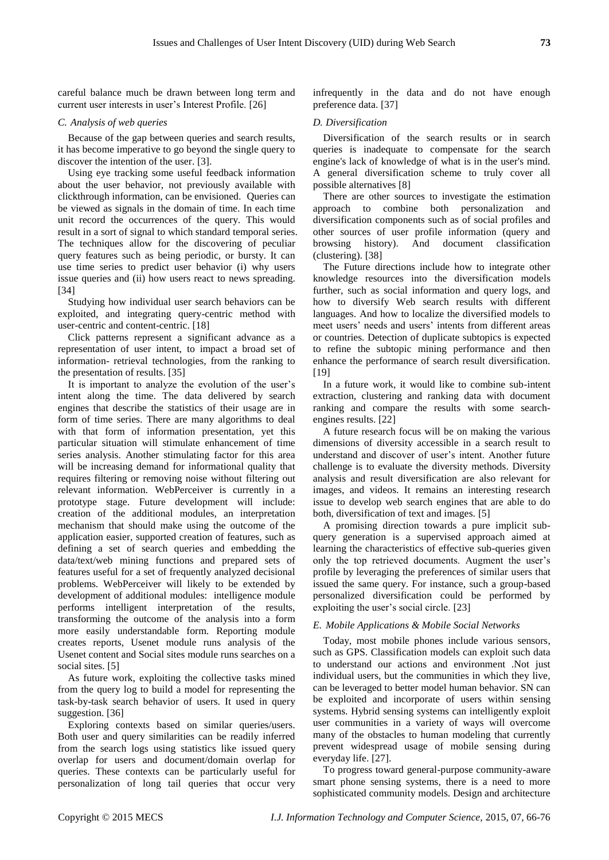careful balance much be drawn between long term and current user interests in user's Interest Profile. [26]

#### *C. Analysis of web queries*

Because of the gap between queries and search results, it has become imperative to go beyond the single query to discover the intention of the user. [3].

Using eye tracking some useful feedback information about the user behavior, not previously available with clickthrough information, can be envisioned. Queries can be viewed as signals in the domain of time. In each time unit record the occurrences of the query. This would result in a sort of signal to which standard temporal series. The techniques allow for the discovering of peculiar query features such as being periodic, or bursty. It can use time series to predict user behavior (i) why users issue queries and (ii) how users react to news spreading. [34]

Studying how individual user search behaviors can be exploited, and integrating query-centric method with user-centric and content-centric. [18]

Click patterns represent a significant advance as a representation of user intent, to impact a broad set of information- retrieval technologies, from the ranking to the presentation of results. [35]

It is important to analyze the evolution of the user's intent along the time. The data delivered by search engines that describe the statistics of their usage are in form of time series. There are many algorithms to deal with that form of information presentation, yet this particular situation will stimulate enhancement of time series analysis. Another stimulating factor for this area will be increasing demand for informational quality that requires filtering or removing noise without filtering out relevant information. WebPerceiver is currently in a prototype stage. Future development will include: creation of the additional modules, an interpretation mechanism that should make using the outcome of the application easier, supported creation of features, such as defining a set of search queries and embedding the data/text/web mining functions and prepared sets of features useful for a set of frequently analyzed decisional problems. WebPerceiver will likely to be extended by development of additional modules: intelligence module performs intelligent interpretation of the results, transforming the outcome of the analysis into a form more easily understandable form. Reporting module creates reports, Usenet module runs analysis of the Usenet content and Social sites module runs searches on a social sites. [5]

As future work, exploiting the collective tasks mined from the query log to build a model for representing the task-by-task search behavior of users. It used in query suggestion. [36]

Exploring contexts based on similar queries/users. Both user and query similarities can be readily inferred from the search logs using statistics like issued query overlap for users and document/domain overlap for queries. These contexts can be particularly useful for personalization of long tail queries that occur very

infrequently in the data and do not have enough preference data. [37]

## *D. Diversification*

Diversification of the search results or in search queries is inadequate to compensate for the search engine's lack of knowledge of what is in the user's mind. A general diversification scheme to truly cover all possible alternatives [8]

There are other sources to investigate the estimation approach to combine both personalization and diversification components such as of social profiles and other sources of user profile information (query and browsing history). And document classification (clustering). [38]

The Future directions include how to integrate other knowledge resources into the diversification models further, such as social information and query logs, and how to diversify Web search results with different languages. And how to localize the diversified models to meet users' needs and users' intents from different areas or countries. Detection of duplicate subtopics is expected to refine the subtopic mining performance and then enhance the performance of search result diversification. [19]

In a future work, it would like to combine sub-intent extraction, clustering and ranking data with document ranking and compare the results with some searchengines results. [22]

A future research focus will be on making the various dimensions of diversity accessible in a search result to understand and discover of user's intent. Another future challenge is to evaluate the diversity methods. Diversity analysis and result diversification are also relevant for images, and videos. It remains an interesting research issue to develop web search engines that are able to do both, diversification of text and images. [5]

A promising direction towards a pure implicit subquery generation is a supervised approach aimed at learning the characteristics of effective sub-queries given only the top retrieved documents. Augment the user's profile by leveraging the preferences of similar users that issued the same query. For instance, such a group-based personalized diversification could be performed by exploiting the user's social circle. [23]

#### *E. Mobile Applications & Mobile Social Networks*

Today, most mobile phones include various sensors, such as GPS. Classification models can exploit such data to understand our actions and environment .Not just individual users, but the communities in which they live, can be leveraged to better model human behavior. SN can be exploited and incorporate of users within sensing systems. Hybrid sensing systems can intelligently exploit user communities in a variety of ways will overcome many of the obstacles to human modeling that currently prevent widespread usage of mobile sensing during everyday life. [27].

To progress toward general-purpose community-aware smart phone sensing systems, there is a need to more sophisticated community models. Design and architecture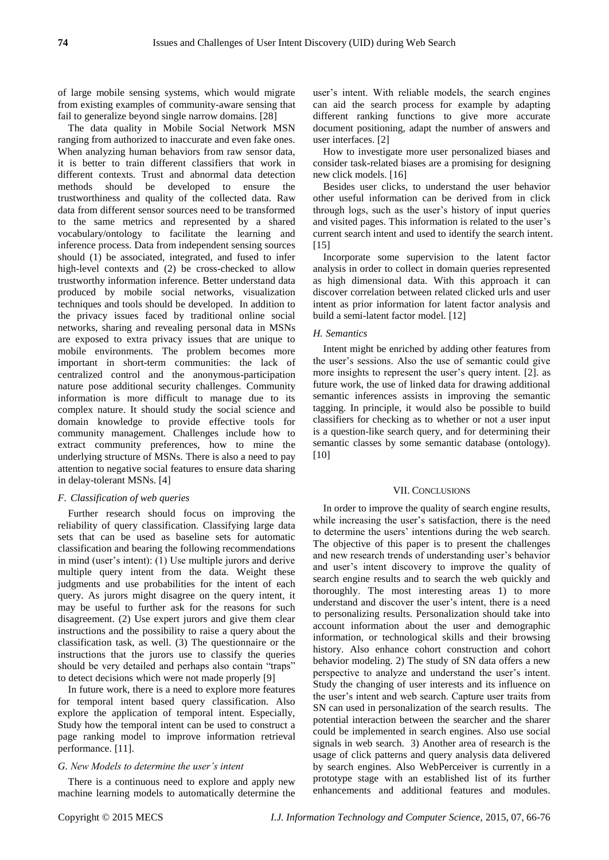of large mobile sensing systems, which would migrate from existing examples of community-aware sensing that fail to generalize beyond single narrow domains. [28]

The data quality in Mobile Social Network MSN ranging from authorized to inaccurate and even fake ones. When analyzing human behaviors from raw sensor data, it is better to train different classifiers that work in different contexts. Trust and abnormal data detection methods should be developed to ensure the trustworthiness and quality of the collected data. Raw data from different sensor sources need to be transformed to the same metrics and represented by a shared vocabulary/ontology to facilitate the learning and inference process. Data from independent sensing sources should (1) be associated, integrated, and fused to infer high-level contexts and (2) be cross-checked to allow trustworthy information inference. Better understand data produced by mobile social networks, visualization techniques and tools should be developed. In addition to the privacy issues faced by traditional online social networks, sharing and revealing personal data in MSNs are exposed to extra privacy issues that are unique to mobile environments. The problem becomes more important in short-term communities: the lack of centralized control and the anonymous-participation nature pose additional security challenges. Community information is more difficult to manage due to its complex nature. It should study the social science and domain knowledge to provide effective tools for community management. Challenges include how to extract community preferences, how to mine the underlying structure of MSNs. There is also a need to pay attention to negative social features to ensure data sharing in delay-tolerant MSNs. [4]

## *F. Classification of web queries*

Further research should focus on improving the reliability of query classification. Classifying large data sets that can be used as baseline sets for automatic classification and bearing the following recommendations in mind (user's intent): (1) Use multiple jurors and derive multiple query intent from the data. Weight these judgments and use probabilities for the intent of each query. As jurors might disagree on the query intent, it may be useful to further ask for the reasons for such disagreement. (2) Use expert jurors and give them clear instructions and the possibility to raise a query about the classification task, as well. (3) The questionnaire or the instructions that the jurors use to classify the queries should be very detailed and perhaps also contain "traps" to detect decisions which were not made properly [9]

In future work, there is a need to explore more features for temporal intent based query classification. Also explore the application of temporal intent. Especially, Study how the temporal intent can be used to construct a page ranking model to improve information retrieval performance. [11].

## *G. New Models to determine the user's intent*

There is a continuous need to explore and apply new machine learning models to automatically determine the user's intent. With reliable models, the search engines can aid the search process for example by adapting different ranking functions to give more accurate document positioning, adapt the number of answers and user interfaces. [2]

How to investigate more user personalized biases and consider task-related biases are a promising for designing new click models. [16]

Besides user clicks, to understand the user behavior other useful information can be derived from in click through logs, such as the user's history of input queries and visited pages. This information is related to the user's current search intent and used to identify the search intent.  $[15]$ 

Incorporate some supervision to the latent factor analysis in order to collect in domain queries represented as high dimensional data. With this approach it can discover correlation between related clicked urls and user intent as prior information for latent factor analysis and build a semi-latent factor model. [12]

## *H. Semantics*

Intent might be enriched by adding other features from the user's sessions. Also the use of semantic could give more insights to represent the user's query intent. [2]. as future work, the use of linked data for drawing additional semantic inferences assists in improving the semantic tagging. In principle, it would also be possible to build classifiers for checking as to whether or not a user input is a question-like search query, and for determining their semantic classes by some semantic database (ontology). [10]

#### VII. CONCLUSIONS

In order to improve the quality of search engine results, while increasing the user's satisfaction, there is the need to determine the users' intentions during the web search. The objective of this paper is to present the challenges and new research trends of understanding user's behavior and user's intent discovery to improve the quality of search engine results and to search the web quickly and thoroughly. The most interesting areas 1) to more understand and discover the user's intent, there is a need to personalizing results. Personalization should take into account information about the user and demographic information, or technological skills and their browsing history. Also enhance cohort construction and cohort behavior modeling. 2) The study of SN data offers a new perspective to analyze and understand the user's intent. Study the changing of user interests and its influence on the user's intent and web search. Capture user traits from SN can used in personalization of the search results. The potential interaction between the searcher and the sharer could be implemented in search engines. Also use social signals in web search. 3) Another area of research is the usage of click patterns and query analysis data delivered by search engines. Also WebPerceiver is currently in a prototype stage with an established list of its further enhancements and additional features and modules.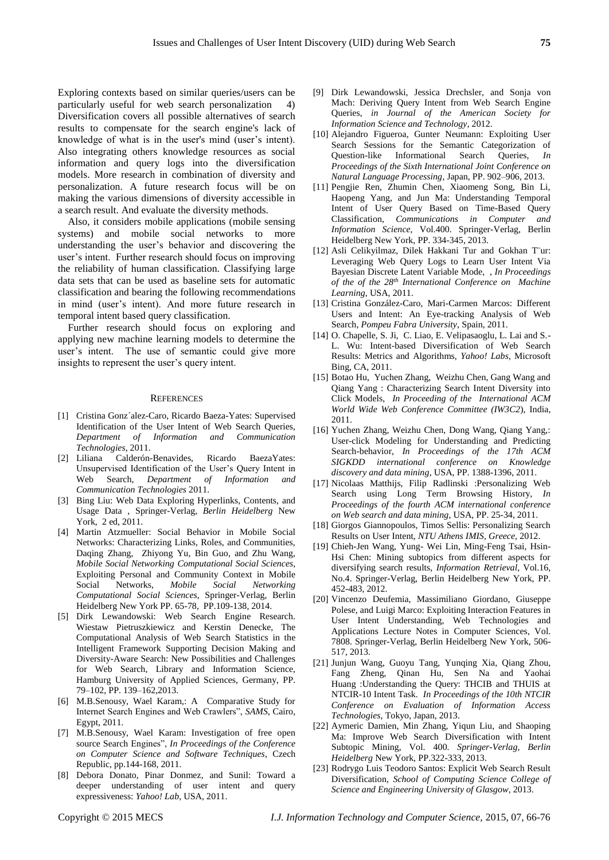Exploring contexts based on similar queries/users can be particularly useful for web search personalization 4) Diversification covers all possible alternatives of search results to compensate for the search engine's lack of knowledge of what is in the user's mind (user's intent). Also integrating others knowledge resources as social information and query logs into the diversification models. More research in combination of diversity and personalization. A future research focus will be on making the various dimensions of diversity accessible in a search result. And evaluate the diversity methods.

Also, it considers mobile applications (mobile sensing systems) and mobile social networks to more understanding the user's behavior and discovering the user's intent. Further research should focus on improving the reliability of human classification. Classifying large data sets that can be used as baseline sets for automatic classification and bearing the following recommendations in mind (user's intent). And more future research in temporal intent based query classification.

Further research should focus on exploring and applying new machine learning models to determine the user's intent. The use of semantic could give more insights to represent the user's query intent.

#### **REFERENCES**

- [1] Cristina Gonz´alez-Caro, Ricardo Baeza-Yates: Supervised Identification of the User Intent of Web Search Queries, *Department of Information and Communication Technologies*, 2011.
- [2] Liliana Calderón-Benavides, Ricardo BaezaYates: Unsupervised Identification of the User's Query Intent in Web Search, *Department of Information and Communication Technologies* 2011.
- [3] Bing Liu: Web Data Exploring Hyperlinks, Contents, and Usage Data , Springer-Verlag, *Berlin Heidelberg* New York, 2 ed, 2011.
- [4] Martin Atzmueller: Social Behavior in Mobile Social Networks: Characterizing Links, Roles, and Communities, Daqing Zhang, Zhiyong Yu, Bin Guo, and Zhu Wang, *[Mobile Social Networking](http://link.springer.com/book/10.1007/978-1-4614-8579-7) [Computational Social Sciences](http://link.springer.com/bookseries/11784)*, Exploiting Personal and Community Context in Mobile Social Networks, *[Mobile Social Networking](http://link.springer.com/book/10.1007/978-1-4614-8579-7) [Computational Social Sciences](http://link.springer.com/bookseries/11784)*, Springer-Verlag, Berlin Heidelberg New York PP. 65-78, PP.109-138, 2014.
- [5] Dirk Lewandowski: Web Search Engine Research. Wiestaw Pietruszkiewicz and Kerstin Denecke, The Computational Analysis of Web Search Statistics in the Intelligent Framework Supporting Decision Making and Diversity-Aware Search: New Possibilities and Challenges for Web Search, Library and Information Science, Hamburg University of Applied Sciences, Germany, PP. 79–102, PP. 139–162,2013.
- [6] M.B.Senousy, Wael Karam,: A Comparative Study for Internet Search Engines and Web Crawlers", *SAMS*, Cairo, Egypt, 2011.
- [7] M.B.Senousy, Wael Karam: Investigation of free open source Search Engines", *In Proceedings of the Conference on Computer Science and Software Techniques*, Czech Republic, pp.144-168, 2011.
- [8] Debora Donato, Pinar Donmez, and Sunil: Toward a deeper understanding of user intent and query expressiveness: *Yahoo! Lab*, USA, 2011.
- [9] Dirk Lewandowski, Jessica Drechsler, and Sonja von Mach: Deriving Query Intent from Web Search Engine Queries, *in Journal of the American Society for Information Science and Technology*, 2012.
- [10] Alejandro Figueroa, Gunter Neumann: Exploiting User Search Sessions for the Semantic Categorization of Question-like Informational Search Queries, In Question-like Informational Search *Proceedings of the Sixth International Joint Conference on Natural Language Processing*, Japan, PP. 902–906, 2013.
- [11] Pengjie Ren, Zhumin Chen, Xiaomeng Song, Bin Li, Haopeng Yang, and Jun Ma: Understanding Temporal Intent of User Query Based on Time-Based Query Classification, *[Communications in Computer and](http://link.springer.com/bookseries/7899)  [Information Science](http://link.springer.com/bookseries/7899)*, Vol.400. Springer-Verlag, Berlin Heidelberg New York, PP. 334-345, 2013.
- [12] Asli Celikyilmaz, Dilek Hakkani Tur and Gokhan Tür: Leveraging Web Query Logs to Learn User Intent Via Bayesian Discrete Latent Variable Mode, , *In Proceedings of the of the 28th International Conference on Machine Learning*, USA, 2011.
- [13] Cristina González-Caro, Mari-Carmen Marcos: Different Users and Intent: An Eye-tracking Analysis of Web Search, *Pompeu Fabra University*, Spain, 2011.
- [14] O. Chapelle, S. Ji, C. Liao, E. Velipasaoglu, L. Lai and S.-L. Wu: Intent-based Diversification of Web Search Results: Metrics and Algorithms, *Yahoo! Labs*, Microsoft Bing, CA, 2011.
- [15] Botao Hu, Yuchen Zhang, Weizhu Chen, Gang Wang and Qiang Yang : Characterizing Search Intent Diversity into Click Models, *In Proceeding of the International ACM World Wide Web Conference Committee (IW3C2*), India, 2011.
- [16] Yuchen Zhang, Weizhu Chen, Dong Wang, Qiang Yang,: User-click Modeling for Understanding and Predicting Search-behavior, *In Proceedings of the 17th ACM SIGKDD international conference on Knowledge discovery and data mining*, USA, PP. 1388-1396, 2011.
- [17] Nicolaas Matthijs, Filip Radlinski :Personalizing Web Search using Long Term Browsing History, *In Proceedings of the fourth ACM international conference on Web search and data mining*, USA, PP. 25-34, 2011.
- [18] Giorgos Giannopoulos, Timos Sellis: Personalizing Search Results on User Intent, *NTU Athens IMIS, Greece*, 2012.
- [19] Chieh-Jen Wang, Yung- Wei Lin, Ming-Feng Tsai, Hsin-Hsi Chen: Mining subtopics from different aspects for diversifying search results, *[Information Retrieval](http://link.springer.com/journal/10791)*, Vol.16, [No.4.](http://link.springer.com/journal/10791/16/4/page/1) Springer-Verlag, Berlin Heidelberg New York, PP. 452-483, 2012.
- [20] Vincenzo Deufemia, Massimiliano Giordano, Giuseppe Polese, and Luigi Marco: Exploiting Interaction Features in User Intent Understanding, [Web Technologies and](http://link.springer.com/book/10.1007/978-3-642-37401-2)  [Applications](http://link.springer.com/book/10.1007/978-3-642-37401-2) [Lecture Notes in Computer Sciences,](http://link.springer.com/bookseries/558) Vol. 7808. Springer-Verlag, Berlin Heidelberg New York, 506- 517, 2013.
- [21] Junjun Wang, Guoyu Tang, Yunqing Xia, Qiang Zhou, Fang Zheng, Qinan Hu, Sen Na and Yaohai Huang :Understanding the Query: THCIB and THUIS at NTCIR-10 Intent Task. *In Proceedings of the 10th NTCIR Conference on Evaluation of Information Access Technologies*, Tokyo, Japan, 2013.
- [22] Aymeric Damien, Min Zhang, Yiqun Liu, and Shaoping Ma: Improve Web Search Diversification with Intent Subtopic Mining, Vol. 400. *Springer-Verlag, Berlin Heidelberg* New York, PP.322-333, 2013.
- [23] Rodrygo Luis Teodoro Santos: Explicit Web Search Result Diversification, *School of Computing Science College of Science and Engineering University of Glasgow*, 2013.